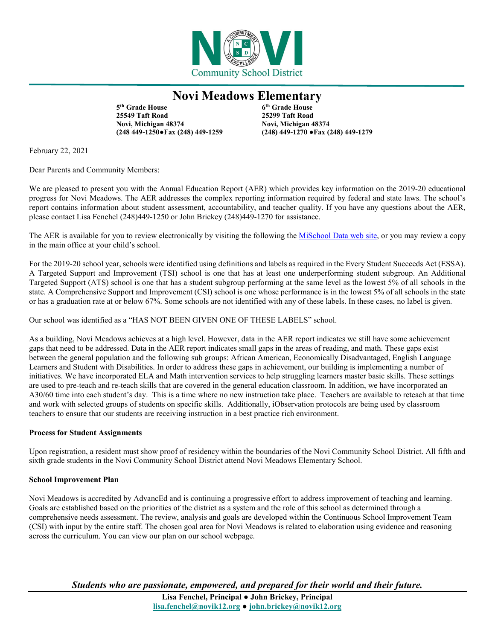

## **Novi Meadows Elementary**

**5th Grade House 6th Grade House 25549 Taft Road 25299 Taft Road Novi, Michigan 48374 Novi, Michigan 48374**

**(248 449-1250●Fax (248) 449-1259 (248) 449-1270 ●Fax (248) 449-1279**

February 22, 2021

Dear Parents and Community Members:

We are pleased to present you with the Annual Education Report (AER) which provides key information on the 2019-20 educational progress for Novi Meadows. The AER addresses the complex reporting information required by federal and state laws. The school's report contains information about student assessment, accountability, and teacher quality. If you have any questions about the AER, please contact Lisa Fenchel (248)449-1250 or John Brickey (248)449-1270 for assistance.

The AER is available for you to review electronically by visiting the following the [MiSchool Data](https://www.mischooldata.org/annual-education-report-1?Common_Locations=1-S,9857,1435,106) web site, or you may review a copy in the main office at your child's school.

For the 2019-20 school year, schools were identified using definitions and labels as required in the Every Student Succeeds Act (ESSA). A Targeted Support and Improvement (TSI) school is one that has at least one underperforming student subgroup. An Additional Targeted Support (ATS) school is one that has a student subgroup performing at the same level as the lowest 5% of all schools in the state. A Comprehensive Support and Improvement (CSI) school is one whose performance is in the lowest 5% of all schools in the state or has a graduation rate at or below 67%. Some schools are not identified with any of these labels. In these cases, no label is given.

Our school was identified as a "HAS NOT BEEN GIVEN ONE OF THESE LABELS" school.

As a building, Novi Meadows achieves at a high level. However, data in the AER report indicates we still have some achievement gaps that need to be addressed. Data in the AER report indicates small gaps in the areas of reading, and math. These gaps exist between the general population and the following sub groups: African American, Economically Disadvantaged, English Language Learners and Student with Disabilities. In order to address these gaps in achievement, our building is implementing a number of initiatives. We have incorporated ELA and Math intervention services to help struggling learners master basic skills. These settings are used to pre-teach and re-teach skills that are covered in the general education classroom. In addition, we have incorporated an A30/60 time into each student's day. This is a time where no new instruction take place. Teachers are available to reteach at that time and work with selected groups of students on specific skills. Additionally, iObservation protocols are being used by classroom teachers to ensure that our students are receiving instruction in a best practice rich environment.

### **Process for Student Assignments**

Upon registration, a resident must show proof of residency within the boundaries of the Novi Community School District. All fifth and sixth grade students in the Novi Community School District attend Novi Meadows Elementary School.

### **School Improvement Plan**

Novi Meadows is accredited by AdvancEd and is continuing a progressive effort to address improvement of teaching and learning. Goals are established based on the priorities of the district as a system and the role of this school as determined through a comprehensive needs assessment. The review, analysis and goals are developed within the Continuous School Improvement Team (CSI) with input by the entire staff. The chosen goal area for Novi Meadows is related to elaboration using evidence and reasoning across the curriculum. You can view our plan on our school webpage.

*Students who are passionate, empowered, and prepared for their world and their future.*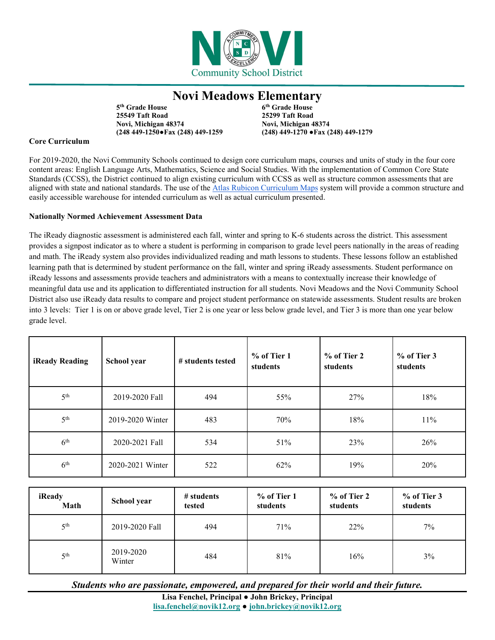

# **Novi Meadows Elementary**

**5th Grade House 6th Grade House 25549 Taft Road 25299 Taft Road Novi, Michigan 48374 Novi, Michigan 48374**

**(248 449-1250●Fax (248) 449-1259 (248) 449-1270 ●Fax (248) 449-1279**

### **Core Curriculum**

For 2019-2020, the Novi Community Schools continued to design core curriculum maps, courses and units of study in the four core content areas: English Language Arts, Mathematics, Science and Social Studies. With the implementation of Common Core State Standards (CCSS), the District continued to align existing curriculum with CCSS as well as structure common assessments that are aligned with state and national standards. The use of the [Atlas Rubicon Curriculum Maps](https://www.novi.k12.mi.us/academics/atlascurriculum-information) system will provide a common structure and easily accessible warehouse for intended curriculum as well as actual curriculum presented.

## **Nationally Normed Achievement Assessment Data**

The iReady diagnostic assessment is administered each fall, winter and spring to K-6 students across the district. This assessment provides a signpost indicator as to where a student is performing in comparison to grade level peers nationally in the areas of reading and math. The iReady system also provides individualized reading and math lessons to students. These lessons follow an established learning path that is determined by student performance on the fall, winter and spring iReady assessments. Student performance on iReady lessons and assessments provide teachers and administrators with a means to contextually increase their knowledge of meaningful data use and its application to differentiated instruction for all students. Novi Meadows and the Novi Community School District also use iReady data results to compare and project student performance on statewide assessments. Student results are broken into 3 levels: Tier 1 is on or above grade level, Tier 2 is one year or less below grade level, and Tier 3 is more than one year below grade level.

| iReady Reading  | School year      | # students tested | $%$ of Tier 1<br>students | % of Tier 2<br>students | % of Tier 3<br>students |
|-----------------|------------------|-------------------|---------------------------|-------------------------|-------------------------|
| 5 <sup>th</sup> | 2019-2020 Fall   | 494               | 55%                       | 27%                     | 18%                     |
| 5 <sup>th</sup> | 2019-2020 Winter | 483               | 70%                       | 18%                     | 11%                     |
| 6 <sup>th</sup> | 2020-2021 Fall   | 534               | 51%                       | 23%                     | 26%                     |
| 6 <sup>th</sup> | 2020-2021 Winter | 522               | 62%                       | 19%                     | 20%                     |

| iReady<br>Math  | School year         | # students<br>tested | $%$ of Tier 1<br>students | $%$ of Tier 2<br>students | % of Tier 3<br>students |
|-----------------|---------------------|----------------------|---------------------------|---------------------------|-------------------------|
| 5 <sup>th</sup> | 2019-2020 Fall      | 494                  | 71%                       | 22%                       | 7%                      |
| 5 <sup>th</sup> | 2019-2020<br>Winter | 484                  | 81%                       | 16%                       | $3\%$                   |

*Students who are passionate, empowered, and prepared for their world and their future.*